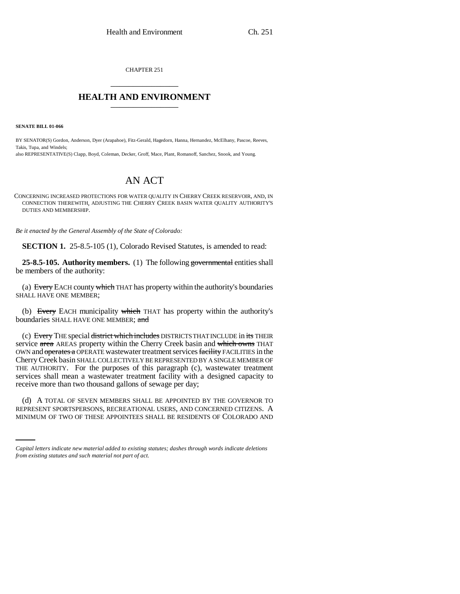CHAPTER 251 \_\_\_\_\_\_\_\_\_\_\_\_\_\_\_

## **HEALTH AND ENVIRONMENT** \_\_\_\_\_\_\_\_\_\_\_\_\_\_\_

**SENATE BILL 01-066**

BY SENATOR(S) Gordon, Anderson, Dyer (Arapahoe), Fitz-Gerald, Hagedorn, Hanna, Hernandez, McElhany, Pascoe, Reeves, Takis, Tupa, and Windels;

also REPRESENTATIVE(S) Clapp, Boyd, Coleman, Decker, Groff, Mace, Plant, Romanoff, Sanchez, Snook, and Young.

## AN ACT

CONCERNING INCREASED PROTECTIONS FOR WATER QUALITY IN CHERRY CREEK RESERVOIR, AND, IN CONNECTION THEREWITH, ADJUSTING THE CHERRY CREEK BASIN WATER QUALITY AUTHORITY'S DUTIES AND MEMBERSHIP.

*Be it enacted by the General Assembly of the State of Colorado:*

**SECTION 1.** 25-8.5-105 (1), Colorado Revised Statutes, is amended to read:

**25-8.5-105. Authority members.** (1) The following governmental entities shall be members of the authority:

(a) Every EACH county which THAT has property within the authority's boundaries SHALL HAVE ONE MEMBER;

(b) Every EACH municipality which THAT has property within the authority's boundaries SHALL HAVE ONE MEMBER; and

(c) Every THE special district which includes DISTRICTS THAT INCLUDE in its THEIR service area AREAS property within the Cherry Creek basin and which owns THAT OWN and operates a OPERATE wastewater treatment services facility FACILITIES in the Cherry Creek basin SHALL COLLECTIVELY BE REPRESENTED BY A SINGLE MEMBER OF THE AUTHORITY. For the purposes of this paragraph (c), wastewater treatment services shall mean a wastewater treatment facility with a designed capacity to receive more than two thousand gallons of sewage per day;

(d) A TOTAL OF SEVEN MEMBERS SHALL BE APPOINTED BY THE GOVERNOR TO REPRESENT SPORTSPERSONS, RECREATIONAL USERS, AND CONCERNED CITIZENS. A MINIMUM OF TWO OF THESE APPOINTEES SHALL BE RESIDENTS OF COLORADO AND

*Capital letters indicate new material added to existing statutes; dashes through words indicate deletions from existing statutes and such material not part of act.*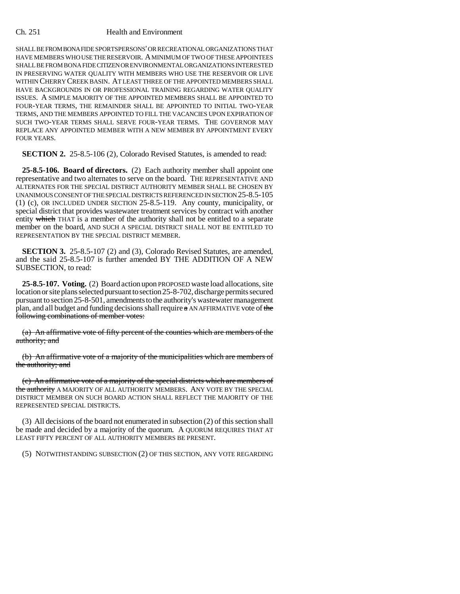## Ch. 251 Health and Environment

SHALL BE FROM BONA FIDE SPORTSPERSONS' OR RECREATIONAL ORGANIZATIONS THAT HAVE MEMBERS WHO USE THE RESERVOIR. A MINIMUM OF TWO OF THESE APPOINTEES SHALL BE FROM BONA FIDE CITIZEN OR ENVIRONMENTAL ORGANIZATIONS INTERESTED IN PRESERVING WATER QUALITY WITH MEMBERS WHO USE THE RESERVOIR OR LIVE WITHIN CHERRY CREEK BASIN. AT LEAST THREE OF THE APPOINTED MEMBERS SHALL HAVE BACKGROUNDS IN OR PROFESSIONAL TRAINING REGARDING WATER QUALITY ISSUES. A SIMPLE MAJORITY OF THE APPOINTED MEMBERS SHALL BE APPOINTED TO FOUR-YEAR TERMS, THE REMAINDER SHALL BE APPOINTED TO INITIAL TWO-YEAR TERMS, AND THE MEMBERS APPOINTED TO FILL THE VACANCIES UPON EXPIRATION OF SUCH TWO-YEAR TERMS SHALL SERVE FOUR-YEAR TERMS. THE GOVERNOR MAY REPLACE ANY APPOINTED MEMBER WITH A NEW MEMBER BY APPOINTMENT EVERY FOUR YEARS.

**SECTION 2.** 25-8.5-106 (2), Colorado Revised Statutes, is amended to read:

**25-8.5-106. Board of directors.** (2) Each authority member shall appoint one representative and two alternates to serve on the board. THE REPRESENTATIVE AND ALTERNATES FOR THE SPECIAL DISTRICT AUTHORITY MEMBER SHALL BE CHOSEN BY UNANIMOUS CONSENT OF THE SPECIAL DISTRICTS REFERENCED IN SECTION 25-8.5-105 (1) (c), OR INCLUDED UNDER SECTION 25-8.5-119. Any county, municipality, or special district that provides wastewater treatment services by contract with another entity which THAT is a member of the authority shall not be entitled to a separate member on the board, AND SUCH A SPECIAL DISTRICT SHALL NOT BE ENTITLED TO REPRESENTATION BY THE SPECIAL DISTRICT MEMBER.

**SECTION 3.** 25-8.5-107 (2) and (3), Colorado Revised Statutes, are amended, and the said 25-8.5-107 is further amended BY THE ADDITION OF A NEW SUBSECTION, to read:

**25-8.5-107. Voting.** (2) Board action upon PROPOSED waste load allocations, site location or site plans selected pursuant to section 25-8-702, discharge permits secured pursuant to section 25-8-501, amendments to the authority's wastewater management plan, and all budget and funding decisions shall require  $\alpha$  AN AFFIRMATIVE vote of the following combinations of member votes:

(a) An affirmative vote of fifty percent of the counties which are members of the authority; and

(b) An affirmative vote of a majority of the municipalities which are members of the authority; and

(c) An affirmative vote of a majority of the special districts which are members of the authority A MAJORITY OF ALL AUTHORITY MEMBERS. ANY VOTE BY THE SPECIAL DISTRICT MEMBER ON SUCH BOARD ACTION SHALL REFLECT THE MAJORITY OF THE REPRESENTED SPECIAL DISTRICTS.

(3) All decisions of the board not enumerated in subsection (2) of this section shall be made and decided by a majority of the quorum. A QUORUM REQUIRES THAT AT LEAST FIFTY PERCENT OF ALL AUTHORITY MEMBERS BE PRESENT.

(5) NOTWITHSTANDING SUBSECTION (2) OF THIS SECTION, ANY VOTE REGARDING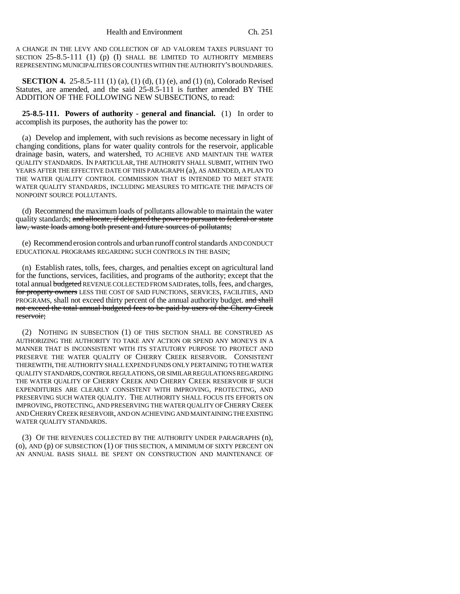A CHANGE IN THE LEVY AND COLLECTION OF AD VALOREM TAXES PURSUANT TO SECTION 25-8.5-111 (1) (p) (I) SHALL BE LIMITED TO AUTHORITY MEMBERS REPRESENTING MUNICIPALITIES OR COUNTIES WITHIN THE AUTHORITY'S BOUNDARIES.

**SECTION 4.** 25-8.5-111 (1) (a), (1) (d), (1) (e), and (1) (n), Colorado Revised Statutes, are amended, and the said 25-8.5-111 is further amended BY THE ADDITION OF THE FOLLOWING NEW SUBSECTIONS, to read:

**25-8.5-111. Powers of authority - general and financial.** (1) In order to accomplish its purposes, the authority has the power to:

(a) Develop and implement, with such revisions as become necessary in light of changing conditions, plans for water quality controls for the reservoir, applicable drainage basin, waters, and watershed, TO ACHIEVE AND MAINTAIN THE WATER QUALITY STANDARDS. IN PARTICULAR, THE AUTHORITY SHALL SUBMIT, WITHIN TWO YEARS AFTER THE EFFECTIVE DATE OF THIS PARAGRAPH (a), AS AMENDED, A PLAN TO THE WATER QUALITY CONTROL COMMISSION THAT IS INTENDED TO MEET STATE WATER QUALITY STANDARDS, INCLUDING MEASURES TO MITIGATE THE IMPACTS OF NONPOINT SOURCE POLLUTANTS.

(d) Recommend the maximum loads of pollutants allowable to maintain the water quality standards; and allocate, if delegated the power to pursuant to federal or state law, waste loads among both present and future sources of pollutants;

(e) Recommend erosion controls and urban runoff control standards AND CONDUCT EDUCATIONAL PROGRAMS REGARDING SUCH CONTROLS IN THE BASIN;

(n) Establish rates, tolls, fees, charges, and penalties except on agricultural land for the functions, services, facilities, and programs of the authority; except that the total annual budgeted REVENUE COLLECTED FROM SAID rates, tolls, fees, and charges, for property owners LESS THE COST OF SAID FUNCTIONS, SERVICES, FACILITIES, AND PROGRAMS, shall not exceed thirty percent of the annual authority budget. and shall not exceed the total annual budgeted fees to be paid by users of the Cherry Creek reservoir;

(2) NOTHING IN SUBSECTION (1) OF THIS SECTION SHALL BE CONSTRUED AS AUTHORIZING THE AUTHORITY TO TAKE ANY ACTION OR SPEND ANY MONEYS IN A MANNER THAT IS INCONSISTENT WITH ITS STATUTORY PURPOSE TO PROTECT AND PRESERVE THE WATER QUALITY OF CHERRY CREEK RESERVOIR. CONSISTENT THEREWITH, THE AUTHORITY SHALL EXPEND FUNDS ONLY PERTAINING TO THE WATER QUALITY STANDARDS, CONTROL REGULATIONS, OR SIMILAR REGULATIONS REGARDING THE WATER QUALITY OF CHERRY CREEK AND CHERRY CREEK RESERVOIR IF SUCH EXPENDITURES ARE CLEARLY CONSISTENT WITH IMPROVING, PROTECTING, AND PRESERVING SUCH WATER QUALITY. THE AUTHORITY SHALL FOCUS ITS EFFORTS ON IMPROVING, PROTECTING, AND PRESERVING THE WATER QUALITY OF CHERRY CREEK AND CHERRY CREEK RESERVOIR, AND ON ACHIEVING AND MAINTAINING THE EXISTING WATER QUALITY STANDARDS.

(3) OF THE REVENUES COLLECTED BY THE AUTHORITY UNDER PARAGRAPHS (n), (o), AND (p) OF SUBSECTION (1) OF THIS SECTION, A MINIMUM OF SIXTY PERCENT ON AN ANNUAL BASIS SHALL BE SPENT ON CONSTRUCTION AND MAINTENANCE OF